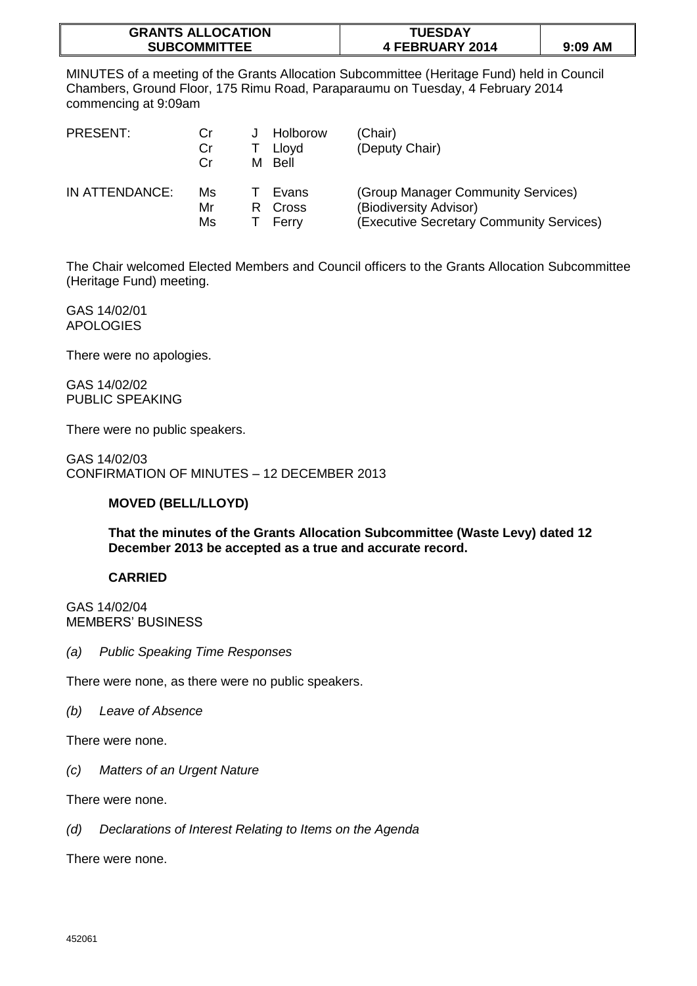| <b>GRANTS ALLOCATION</b> | <b>TUESDAY</b>  |           |
|--------------------------|-----------------|-----------|
| <b>SUBCOMMITTEE</b>      | 4 FEBRUARY 2014 | $9:09$ AM |

MINUTES of a meeting of the Grants Allocation Subcommittee (Heritage Fund) held in Council Chambers, Ground Floor, 175 Rimu Road, Paraparaumu on Tuesday, 4 February 2014 commencing at 9:09am

| PRESENT:       | Cr<br>Cr<br>Cr. | м | Holborow<br>Lloyd<br>Bell | (Chair)<br>(Deputy Chair)                                                                                |
|----------------|-----------------|---|---------------------------|----------------------------------------------------------------------------------------------------------|
| IN ATTENDANCE: | Ms<br>Mr<br>Ms  | R | Evans<br>Cross<br>Ferry   | (Group Manager Community Services)<br>(Biodiversity Advisor)<br>(Executive Secretary Community Services) |

The Chair welcomed Elected Members and Council officers to the Grants Allocation Subcommittee (Heritage Fund) meeting.

GAS 14/02/01 APOLOGIES

There were no apologies.

GAS 14/02/02 PUBLIC SPEAKING

There were no public speakers.

GAS 14/02/03 CONFIRMATION OF MINUTES – 12 DECEMBER 2013

## **MOVED (BELL/LLOYD)**

**That the minutes of the Grants Allocation Subcommittee (Waste Levy) dated 12 December 2013 be accepted as a true and accurate record.** 

## **CARRIED**

GAS 14/02/04 MEMBERS' BUSINESS

*(a) Public Speaking Time Responses*

There were none, as there were no public speakers.

*(b) Leave of Absence*

There were none.

*(c) Matters of an Urgent Nature*

There were none.

*(d) Declarations of Interest Relating to Items on the Agenda*

There were none.